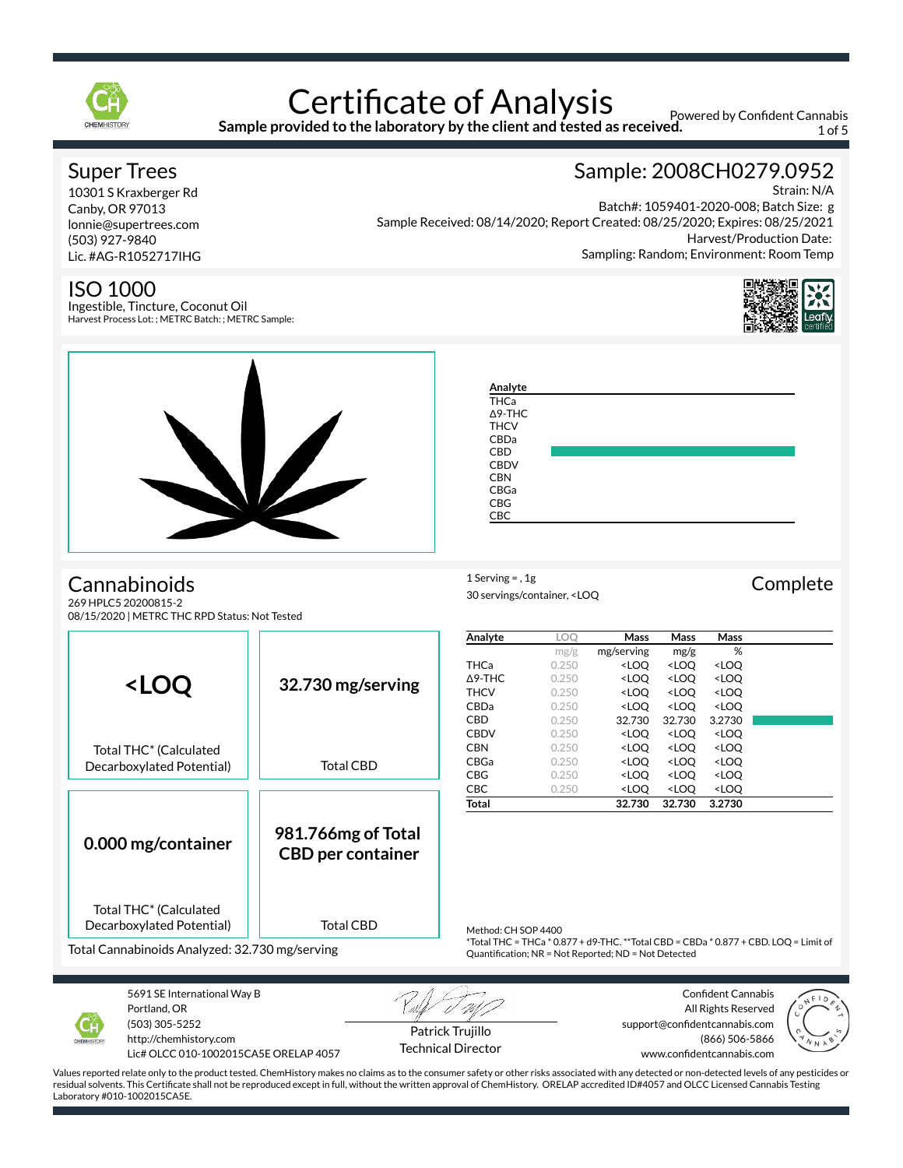

## **Certificate of Analysis Sample provided to the laboratory by the client and tested as received.**

Powered by Confident Cannabis 1 of 5

## Super Trees

10301 S Kraxberger Rd Canby, OR 97013 lonnie@supertrees.com (503) 927-9840 Lic. #AG-R1052717IHG

### ISO 1000

Ingestible, Tincture, Coconut Oil Harvest Process Lot: ; METRC Batch: ; METRC Sample:

# Sample: 2008CH0279.0952

Strain: N/A Batch#: 1059401-2020-008; Batch Size: g Sample Received: 08/14/2020; Report Created: 08/25/2020; Expires: 08/25/2021 Harvest/Production Date: Sampling: Random; Environment: Room Temp





**Analyte** THCa Δ9-THC **THCV** CBDa CBD **CBDV CBN** CBGa CBG CBC

1 Serving = , 1g<br>
Complete

# Cannabinoids

269 HPLC5 20200815-2 08/15/2020 | METRC THC RPD Status: Not Tested



30 servings/container, <LOQ



5691 SE International Way B Portland, OR (503) 305-5252 http://chemhistory.com

Lic# OLCC 010-1002015CA5E ORELAP 4057

Patrick Trujillo Technical Director

Confident Cannabis All Rights Reserved support@confidentcannabis.com (866) 506-5866 www.confidentcannabis.com

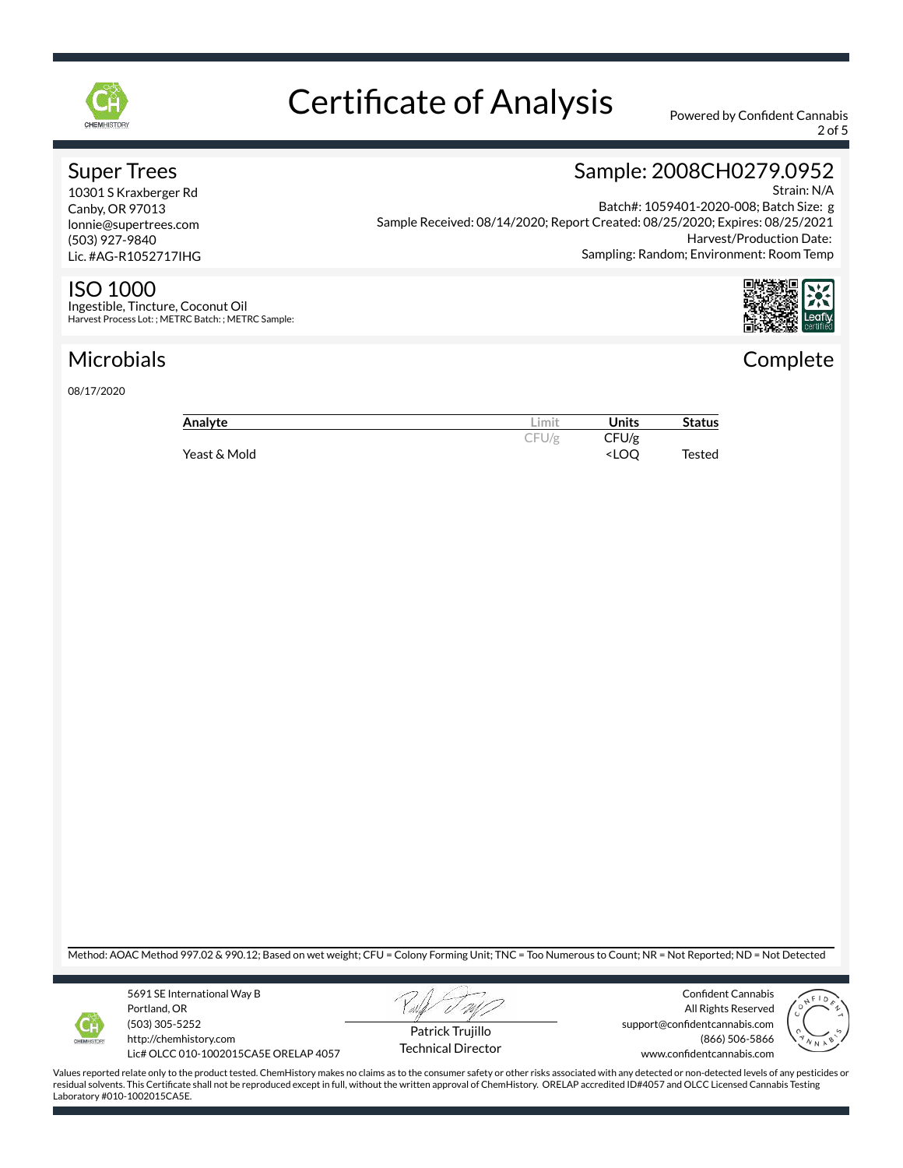

2 of 5

## Super Trees

10301 S Kraxberger Rd Canby, OR 97013 lonnie@supertrees.com (503) 927-9840 Lic. #AG-R1052717IHG

### ISO 1000

Ingestible, Tincture, Coconut Oil Harvest Process Lot: ; METRC Batch: ; METRC Sample:

# Microbials

08/17/2020

## Sample: 2008CH0279.0952 Strain: N/A

Batch#: 1059401-2020-008; Batch Size: g Sample Received: 08/14/2020; Report Created: 08/25/2020; Expires: 08/25/2021 Harvest/Production Date: Sampling: Random; Environment: Room Temp



# **Complete**

| Analyte      | Limit | Units                              | <b>Status</b> |
|--------------|-------|------------------------------------|---------------|
|              | CFU/g | CFU/g                              |               |
| Yeast & Mold |       | <loo< td=""><td>Tested</td></loo<> | Tested        |

Method: AOAC Method 997.02 & 990.12; Based on wet weight; CFU = Colony Forming Unit; TNC = Too Numerous to Count; NR = Not Reported; ND = Not Detected



5691 SE International Way B Portland, OR (503) 305-5252 http://chemhistory.com

Lic# OLCC 010-1002015CA5E ORELAP 4057



Confident Cannabis All Rights Reserved support@confidentcannabis.com (866) 506-5866 www.confidentcannabis.com



Values reported relate only to the product tested. ChemHistory makes no claims as to the consumer safety or other risks associated with any detected or non-detected levels of any pesticides or residual solvents. This Certificate shall not be reproduced except in full, without the written approval of ChemHistory. ORELAP accredited ID#4057 and OLCC Licensed Cannabis Testing Laboratory #010-1002015CA5E.

Technical Director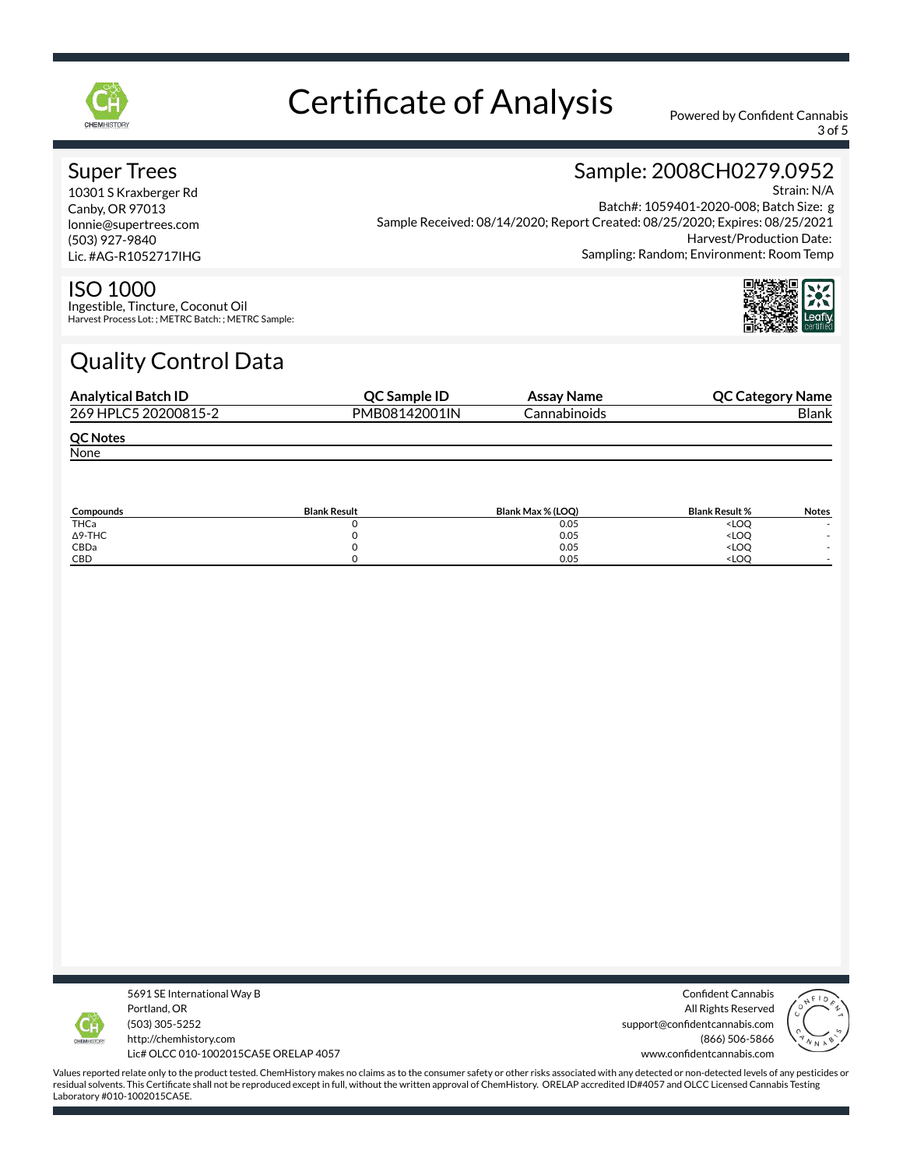

3 of 5

Sample: 2008CH0279.0952

### Super Trees

10301 S Kraxberger Rd Canby, OR 97013 lonnie@supertrees.com (503) 927-9840 Lic. #AG-R1052717IHG

#### Strain: N/A Batch#: 1059401-2020-008; Batch Size: g Sample Received: 08/14/2020; Report Created: 08/25/2020; Expires: 08/25/2021 Harvest/Production Date: Sampling: Random; Environment: Room Temp

### ISO 1000

Ingestible, Tincture, Coconut Oil Harvest Process Lot: ; METRC Batch: ; METRC Sample:

# Quality Control Data

| <b>Analytical Batch ID</b> | <b>OC Sample ID</b> | Assay Name          | <b>QC Category Name</b> |
|----------------------------|---------------------|---------------------|-------------------------|
| 269 HPLC5 20200815-2       | PMB08142001IN       | <b>Cannabinoids</b> | <b>Blank</b>            |
| <b>QC Notes</b>            |                     |                     |                         |
| None                       |                     |                     |                         |
|                            |                     |                     |                         |

| Compounds      | <b>Blank Result</b> | Blank Max % (LOO) | <b>Blank Result %</b>        | <b>Notes</b> |
|----------------|---------------------|-------------------|------------------------------|--------------|
| THCa           |                     | 0.05              | <loq< td=""><td></td></loq<> |              |
| $\Delta$ 9-THC |                     | 0.05              | <loq< td=""><td></td></loq<> |              |
| CBDa           |                     | 0.05              | <loq< td=""><td></td></loq<> |              |
| CBD            |                     | 0.05              | <loc< td=""><td></td></loc<> |              |



5691 SE International Way B Portland, OR (503) 305-5252 http://chemhistory.com Lic# OLCC 010-1002015CA5E ORELAP 4057

Confident Cannabis All Rights Reserved support@confidentcannabis.com (866) 506-5866 www.confidentcannabis.com

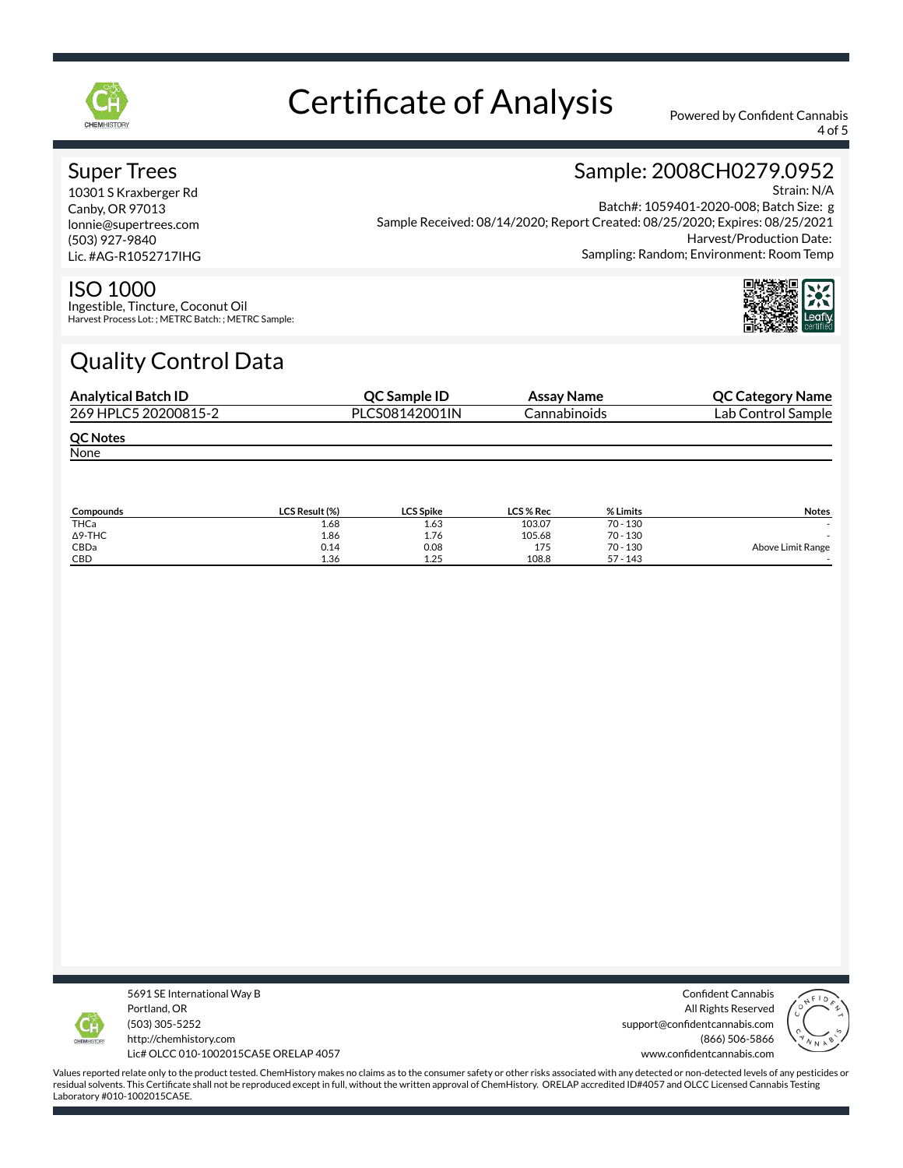

4 of 5

Sample: 2008CH0279.0952

### Super Trees

10301 S Kraxberger Rd Canby, OR 97013 lonnie@supertrees.com (503) 927-9840 Lic. #AG-R1052717IHG

#### Strain: N/A Batch#: 1059401-2020-008; Batch Size: g Sample Received: 08/14/2020; Report Created: 08/25/2020; Expires: 08/25/2021 Harvest/Production Date: Sampling: Random; Environment: Room Temp



### ISO 1000

Ingestible, Tincture, Coconut Oil Harvest Process Lot: ; METRC Batch: ; METRC Sample:

# Quality Control Data

| <b>Analytical Batch ID</b> | QC Sample ID   | Assay Name   | <b>QC Category Name</b> |
|----------------------------|----------------|--------------|-------------------------|
| 269 HPLC5 20200815-2       | PLCS08142001IN | Cannabinoids | Lab Control Sample      |
| <b>QC Notes</b>            |                |              |                         |
| None                       |                |              |                         |

| Compounds      | <b>LCS Result (%)</b> | <b>LCS Spike</b> | <b>LCS % Rec</b> | % Limits   | <b>Notes</b>      |
|----------------|-----------------------|------------------|------------------|------------|-------------------|
| THCa           | 1.68                  | 1.63             | 103.07           | $70 - 130$ |                   |
| $\Delta$ 9-THC | 1.86                  | 1.76             | 105.68           | $70 - 130$ |                   |
| CBDa           | 0.14                  | 0.08             | 175              | $70 - 130$ | Above Limit Range |
| CBD            | 1.36                  | 1.25             | 108.8            | $57 - 143$ |                   |



5691 SE International Way B Portland, OR (503) 305-5252 http://chemhistory.com Lic# OLCC 010-1002015CA5E ORELAP 4057

Confident Cannabis All Rights Reserved support@confidentcannabis.com (866) 506-5866 www.confidentcannabis.com